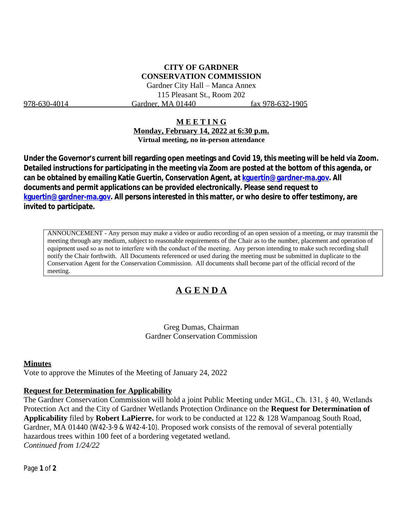## **CITY OF GARDNER CONSERVATION COMMISSION**

Gardner City Hall – Manca Annex 115 Pleasant St., Room 202 978-630-4014 Gardner, MA 01440 fax 978-632-1905

### **M E E T I N G**

**Monday, February 14, 2022 at 6:30 p.m. Virtual meeting, no in-person attendance**

**Under the Governor's current bill regarding open meetings and Covid 19, this meeting will be held via Zoom. Detailed instructions for participating in the meeting via Zoom are posted at the bottom of this agenda, or can be obtained by emailing Katie Guertin, Conservation Agent, at [kguertin@gardner-ma.gov. All](mailto:kguertin@gardner-ma.gov)  [documents and permit applications can be provided electronically. Please send request to](mailto:kguertin@gardner-ma.gov)  [kguertin@gardner-ma.gov.](mailto:kguertin@gardner-ma.gov) All persons interested in this matter, or who desire to offer testimony, are invited to participate.**

ANNOUNCEMENT - Any person may make a video or audio recording of an open session of a meeting, or may transmit the meeting through any medium, subject to reasonable requirements of the Chair as to the number, placement and operation of equipment used so as not to interfere with the conduct of the meeting. Any person intending to make such recording shall notify the Chair forthwith. All Documents referenced or used during the meeting must be submitted in duplicate to the Conservation Agent for the Conservation Commission. All documents shall become part of the official record of the meeting.

# **A G E N D A**

Greg Dumas, Chairman Gardner Conservation Commission

### **Minutes**

Vote to approve the Minutes of the Meeting of January 24, 2022

### **Request for Determination for Applicability**

The Gardner Conservation Commission will hold a joint Public Meeting under MGL, Ch. 131, § 40, Wetlands Protection Act and the City of Gardner Wetlands Protection Ordinance on the **Request for Determination of Applicability** filed by **Robert LaPierre.** for work to be conducted at 122 & 128 Wampanoag South Road, Gardner, MA 01440 (W42-3-9 & W42-4-10). Proposed work consists of the removal of several potentially hazardous trees within 100 feet of a bordering vegetated wetland. *Continued from 1/24/22*

Page **1** of **2**